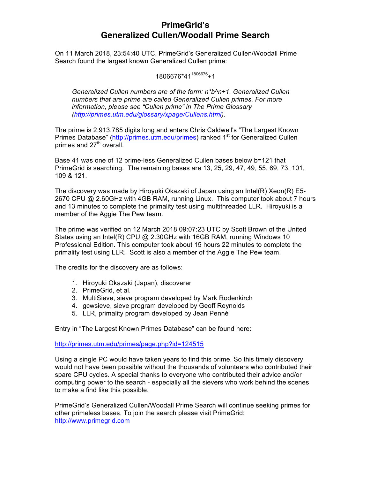# **PrimeGrid's Generalized Cullen/Woodall Prime Search**

On 11 March 2018, 23:54:40 UTC, PrimeGrid's Generalized Cullen/Woodall Prime Search found the largest known Generalized Cullen prime:

1806676\*41<sup>1806676</sup>+1

*Generalized Cullen numbers are of the form: n\*b^n+1. Generalized Cullen numbers that are prime are called Generalized Cullen primes. For more information, please see "Cullen prime" in The Prime Glossary (http://primes.utm.edu/glossary/xpage/Cullens.html).*

The prime is 2,913,785 digits long and enters Chris Caldwell's "The Largest Known Primes Database" (http://primes.utm.edu/primes) ranked 1<sup>st</sup> for Generalized Cullen primes and  $27<sup>th</sup>$  overall.

Base 41 was one of 12 prime-less Generalized Cullen bases below b=121 that PrimeGrid is searching. The remaining bases are 13, 25, 29, 47, 49, 55, 69, 73, 101, 109 & 121.

The discovery was made by Hiroyuki Okazaki of Japan using an Intel(R) Xeon(R) E5- 2670 CPU @ 2.60GHz with 4GB RAM, running Linux. This computer took about 7 hours and 13 minutes to complete the primality test using multithreaded LLR. Hiroyuki is a member of the Aggie The Pew team.

The prime was verified on 12 March 2018 09:07:23 UTC by Scott Brown of the United States using an Intel(R) CPU @ 2.30GHz with 16GB RAM, running Windows 10 Professional Edition. This computer took about 15 hours 22 minutes to complete the primality test using LLR. Scott is also a member of the Aggie The Pew team.

The credits for the discovery are as follows:

- 1. Hiroyuki Okazaki (Japan), discoverer
- 2. PrimeGrid, et al.
- 3. MultiSieve, sieve program developed by Mark Rodenkirch
- 4. gcwsieve, sieve program developed by Geoff Reynolds
- 5. LLR, primality program developed by Jean Penné

Entry in "The Largest Known Primes Database" can be found here:

http://primes.utm.edu/primes/page.php?id=124515

Using a single PC would have taken years to find this prime. So this timely discovery would not have been possible without the thousands of volunteers who contributed their spare CPU cycles. A special thanks to everyone who contributed their advice and/or computing power to the search - especially all the sievers who work behind the scenes to make a find like this possible.

PrimeGrid's Generalized Cullen/Woodall Prime Search will continue seeking primes for other primeless bases. To join the search please visit PrimeGrid: http://www.primegrid.com